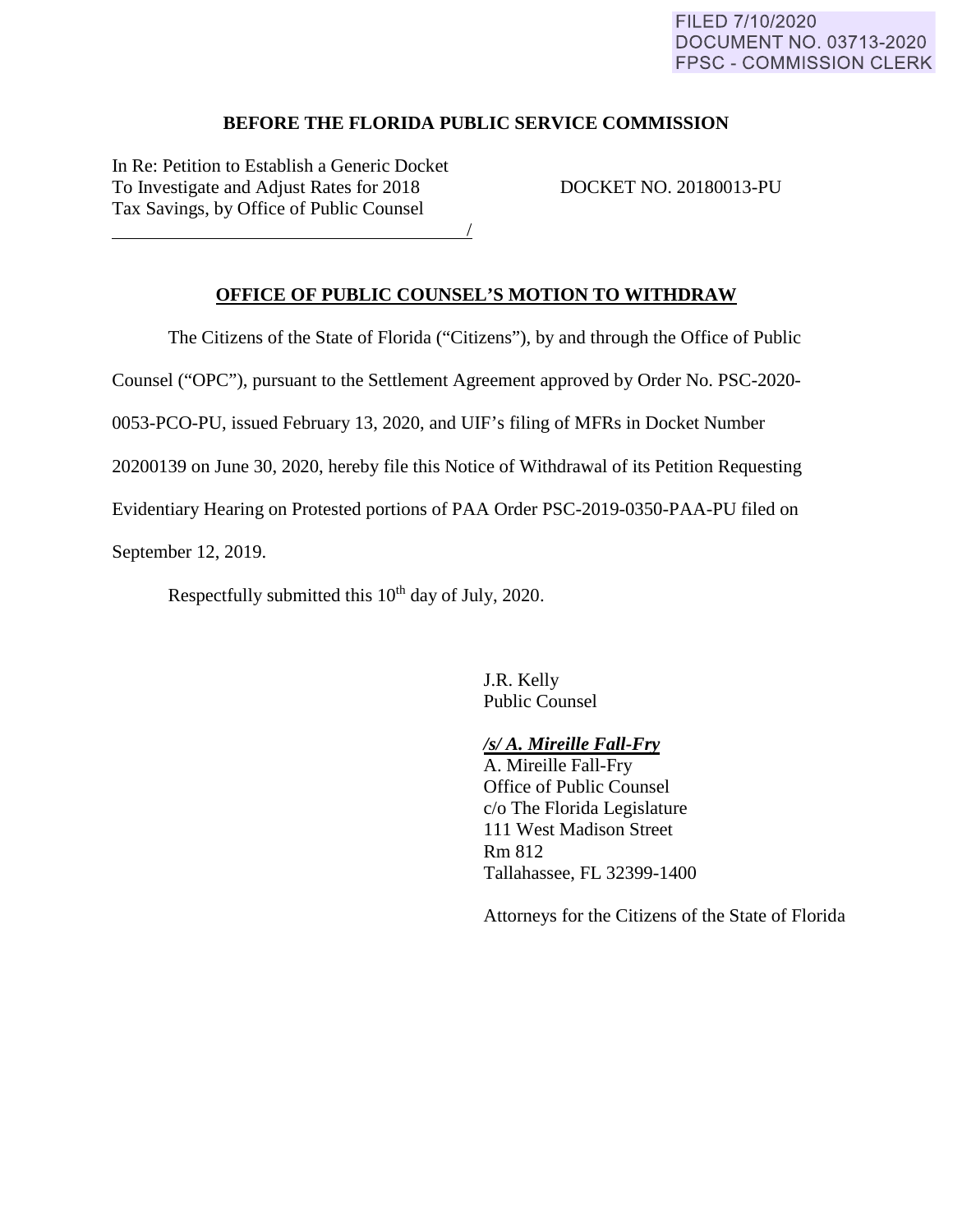### FILED 7/10/2020 **DOCUMENT NO. 03713-2020 FPSC - COMMISSION CLERK**

### **BEFORE THE FLORIDA PUBLIC SERVICE COMMISSION**

In Re: Petition to Establish a Generic Docket To Investigate and Adjust Rates for 2018 DOCKET NO. 20180013-PU Tax Savings, by Office of Public Counsel

<u>/</u>

# **OFFICE OF PUBLIC COUNSEL'S MOTION TO WITHDRAW**

The Citizens of the State of Florida ("Citizens"), by and through the Office of Public

Counsel ("OPC"), pursuant to the Settlement Agreement approved by Order No. PSC-2020-

0053-PCO-PU, issued February 13, 2020, and UIF's filing of MFRs in Docket Number

20200139 on June 30, 2020, hereby file this Notice of Withdrawal of its Petition Requesting

Evidentiary Hearing on Protested portions of PAA Order PSC-2019-0350-PAA-PU filed on

September 12, 2019.

Respectfully submitted this  $10<sup>th</sup>$  day of July, 2020.

J.R. Kelly Public Counsel

### */s/ A. Mireille Fall-Fry*

A. Mireille Fall-Fry Office of Public Counsel c/o The Florida Legislature 111 West Madison Street Rm 812 Tallahassee, FL 32399-1400

Attorneys for the Citizens of the State of Florida